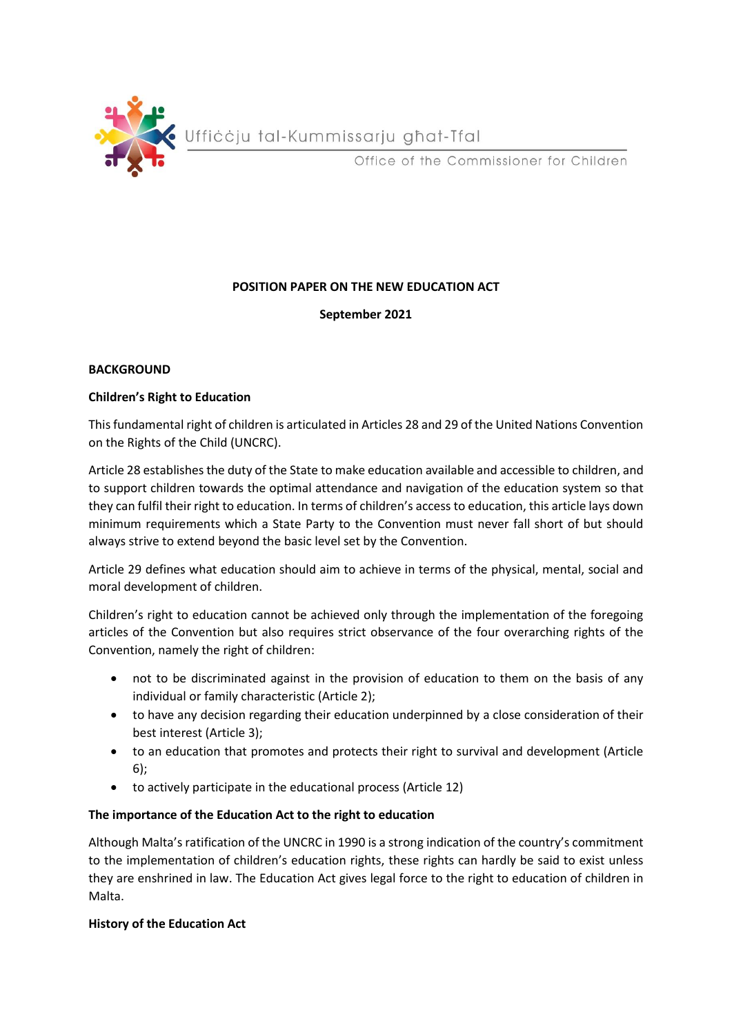

#### **POSITION PAPER ON THE NEW EDUCATION ACT**

**September 2021**

#### **BACKGROUND**

#### **Children's Right to Education**

This fundamental right of children is articulated in Articles 28 and 29 of the United Nations Convention on the Rights of the Child (UNCRC).

Article 28 establishes the duty of the State to make education available and accessible to children, and to support children towards the optimal attendance and navigation of the education system so that they can fulfil their right to education. In terms of children's access to education, this article lays down minimum requirements which a State Party to the Convention must never fall short of but should always strive to extend beyond the basic level set by the Convention.

Article 29 defines what education should aim to achieve in terms of the physical, mental, social and moral development of children.

Children's right to education cannot be achieved only through the implementation of the foregoing articles of the Convention but also requires strict observance of the four overarching rights of the Convention, namely the right of children:

- not to be discriminated against in the provision of education to them on the basis of any individual or family characteristic (Article 2);
- to have any decision regarding their education underpinned by a close consideration of their best interest (Article 3);
- to an education that promotes and protects their right to survival and development (Article 6);
- to actively participate in the educational process (Article 12)

## **The importance of the Education Act to the right to education**

Although Malta's ratification of the UNCRC in 1990 is a strong indication of the country's commitment to the implementation of children's education rights, these rights can hardly be said to exist unless they are enshrined in law. The Education Act gives legal force to the right to education of children in Malta.

#### **History of the Education Act**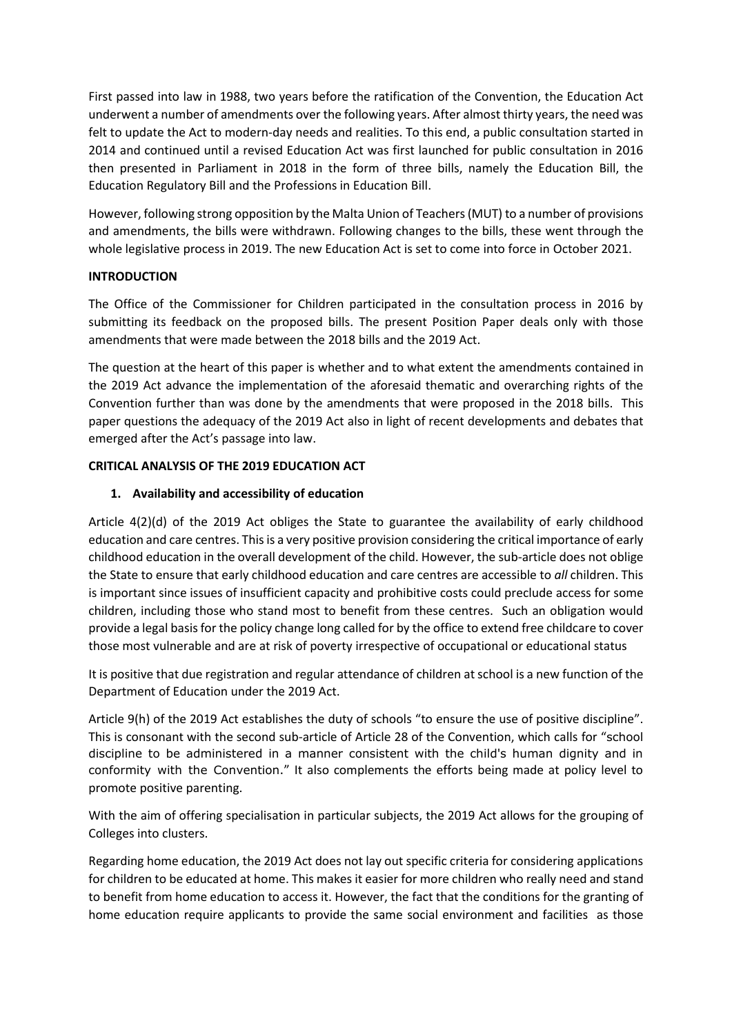First passed into law in 1988, two years before the ratification of the Convention, the Education Act underwent a number of amendments over the following years. After almost thirty years, the need was felt to update the Act to modern-day needs and realities. To this end, a public consultation started in 2014 and continued until a revised Education Act was first launched for public consultation in 2016 then presented in Parliament in 2018 in the form of three bills, namely the Education Bill, the Education Regulatory Bill and the Professions in Education Bill.

However, following strong opposition by the Malta Union of Teachers (MUT) to a number of provisions and amendments, the bills were withdrawn. Following changes to the bills, these went through the whole legislative process in 2019. The new Education Act is set to come into force in October 2021.

## **INTRODUCTION**

The Office of the Commissioner for Children participated in the consultation process in 2016 by submitting its feedback on the proposed bills. The present Position Paper deals only with those amendments that were made between the 2018 bills and the 2019 Act.

The question at the heart of this paper is whether and to what extent the amendments contained in the 2019 Act advance the implementation of the aforesaid thematic and overarching rights of the Convention further than was done by the amendments that were proposed in the 2018 bills. This paper questions the adequacy of the 2019 Act also in light of recent developments and debates that emerged after the Act's passage into law.

## **CRITICAL ANALYSIS OF THE 2019 EDUCATION ACT**

#### **1. Availability and accessibility of education**

Article 4(2)(d) of the 2019 Act obliges the State to guarantee the availability of early childhood education and care centres. This is a very positive provision considering the critical importance of early childhood education in the overall development of the child. However, the sub-article does not oblige the State to ensure that early childhood education and care centres are accessible to *all* children. This is important since issues of insufficient capacity and prohibitive costs could preclude access for some children, including those who stand most to benefit from these centres. Such an obligation would provide a legal basis for the policy change long called for by the office to extend free childcare to cover those most vulnerable and are at risk of poverty irrespective of occupational or educational status

It is positive that due registration and regular attendance of children at school is a new function of the Department of Education under the 2019 Act.

Article 9(h) of the 2019 Act establishes the duty of schools "to ensure the use of positive discipline". This is consonant with the second sub-article of Article 28 of the Convention, which calls for "school discipline to be administered in a manner consistent with the child's human dignity and in conformity with the Convention." It also complements the efforts being made at policy level to promote positive parenting.

With the aim of offering specialisation in particular subjects, the 2019 Act allows for the grouping of Colleges into clusters.

Regarding home education, the 2019 Act does not lay out specific criteria for considering applications for children to be educated at home. This makes it easier for more children who really need and stand to benefit from home education to access it. However, the fact that the conditions for the granting of home education require applicants to provide the same social environment and facilities as those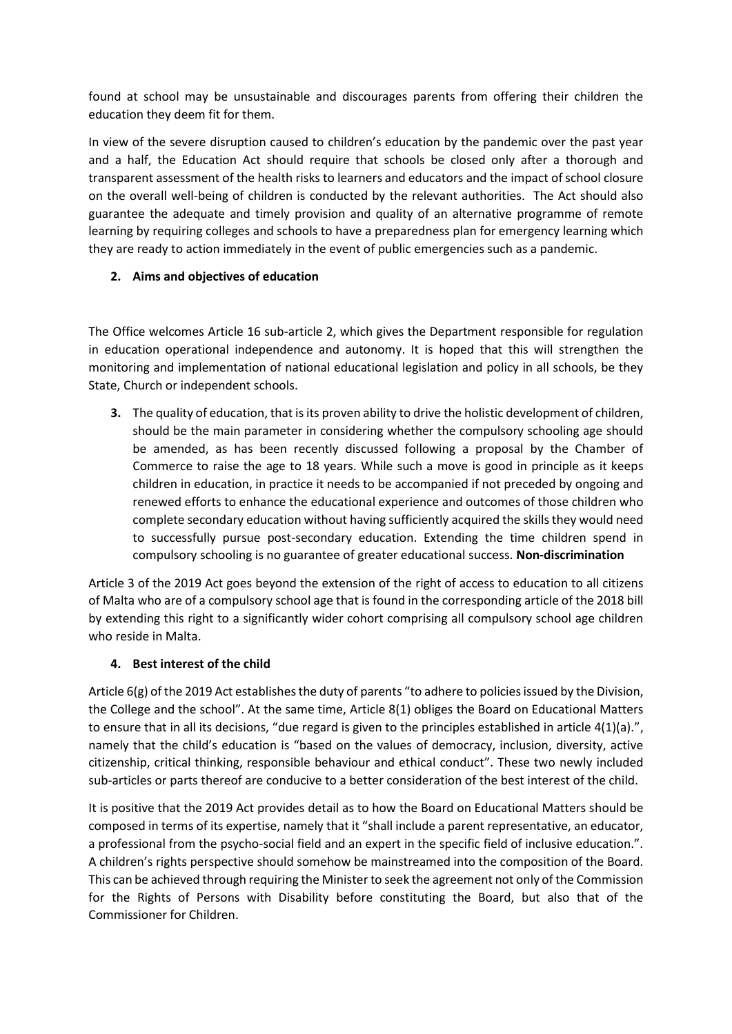found at school may be unsustainable and discourages parents from offering their children the education they deem fit for them.

In view of the severe disruption caused to children's education by the pandemic over the past year and a half, the Education Act should require that schools be closed only after a thorough and transparent assessment of the health risks to learners and educators and the impact of school closure on the overall well-being of children is conducted by the relevant authorities. The Act should also guarantee the adequate and timely provision and quality of an alternative programme of remote learning by requiring colleges and schools to have a preparedness plan for emergency learning which they are ready to action immediately in the event of public emergencies such as a pandemic.

# **2. Aims and objectives of education**

The Office welcomes Article 16 sub-article 2, which gives the Department responsible for regulation in education operational independence and autonomy. It is hoped that this will strengthen the monitoring and implementation of national educational legislation and policy in all schools, be they State, Church or independent schools.

**3.** The quality of education, that is its proven ability to drive the holistic development of children, should be the main parameter in considering whether the compulsory schooling age should be amended, as has been recently discussed following a proposal by the Chamber of Commerce to raise the age to 18 years. While such a move is good in principle as it keeps children in education, in practice it needs to be accompanied if not preceded by ongoing and renewed efforts to enhance the educational experience and outcomes of those children who complete secondary education without having sufficiently acquired the skillsthey would need to successfully pursue post-secondary education. Extending the time children spend in compulsory schooling is no guarantee of greater educational success. **Non-discrimination**

Article 3 of the 2019 Act goes beyond the extension of the right of access to education to all citizens of Malta who are of a compulsory school age that is found in the corresponding article of the 2018 bill by extending this right to a significantly wider cohort comprising all compulsory school age children who reside in Malta.

## **4. Best interest of the child**

Article 6(g) of the 2019 Act establishes the duty of parents "to adhere to policies issued by the Division, the College and the school". At the same time, Article 8(1) obliges the Board on Educational Matters to ensure that in all its decisions, "due regard is given to the principles established in article 4(1)(a).", namely that the child's education is "based on the values of democracy, inclusion, diversity, active citizenship, critical thinking, responsible behaviour and ethical conduct". These two newly included sub-articles or parts thereof are conducive to a better consideration of the best interest of the child.

It is positive that the 2019 Act provides detail as to how the Board on Educational Matters should be composed in terms of its expertise, namely that it "shall include a parent representative, an educator, a professional from the psycho-social field and an expert in the specific field of inclusive education.". A children's rights perspective should somehow be mainstreamed into the composition of the Board. This can be achieved through requiring the Minister to seek the agreement not only of the Commission for the Rights of Persons with Disability before constituting the Board, but also that of the Commissioner for Children.